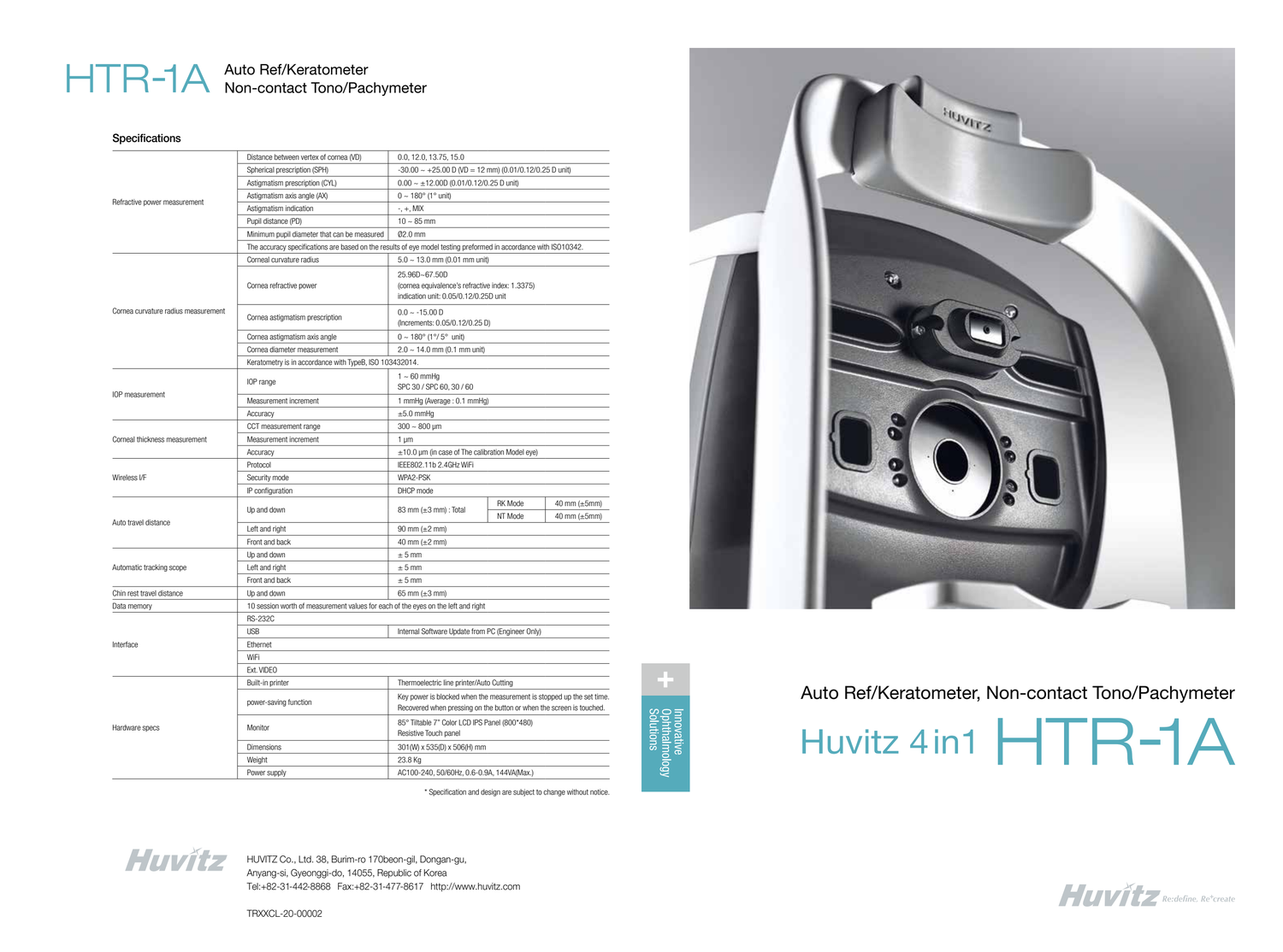

# HTR-1A Auto Ref/Keratometer<br>Non-contact Tono/Pachymeter

#### **Specifications**

HUVITZ Co., Ltd. 38, Burim-ro 170beon-gil, Dongan-gu, Anyang-si, Gyeonggi-do, 14055, Republic of Korea Tel:+82-31-442-8868 Fax:+82-31-477-8617 http://www.huvitz.com

TRXXCL-20-00002

| Refractive power measurement        | Distance between vertex of cornea (VD)                                                                           | 0.0, 12.0, 13.75, 15.0                                                                                                                        |                    |                                          |  |
|-------------------------------------|------------------------------------------------------------------------------------------------------------------|-----------------------------------------------------------------------------------------------------------------------------------------------|--------------------|------------------------------------------|--|
|                                     | Spherical prescription (SPH)                                                                                     | $-30.00 \sim +25.00 \text{ D}$ (VD = 12 mm) (0.01/0.12/0.25 D unit)                                                                           |                    |                                          |  |
|                                     | Astigmatism prescription (CYL)                                                                                   | $0.00 \sim \pm 12.00D(0.01/0.12/0.25D)$ unit)                                                                                                 |                    |                                          |  |
|                                     | Astigmatism axis angle (AX)                                                                                      | $0 \sim 180^{\circ}$ (1° unit)                                                                                                                |                    |                                          |  |
|                                     | Astigmatism indication                                                                                           | $-$ , $+$ , MIX                                                                                                                               |                    |                                          |  |
|                                     | Pupil distance (PD)                                                                                              | $10 \sim 85$ mm                                                                                                                               |                    |                                          |  |
|                                     | Minimum pupil diameter that can be measured                                                                      | 02.0 mm                                                                                                                                       |                    |                                          |  |
|                                     | The accuracy specifications are based on the results of eye model testing preformed in accordance with ISO10342. |                                                                                                                                               |                    |                                          |  |
| Cornea curvature radius measurement | Corneal curvature radius                                                                                         | $5.0 \sim 13.0$ mm (0.01 mm unit)                                                                                                             |                    |                                          |  |
|                                     | Cornea refractive power                                                                                          | 25.96D~67.50D<br>(cornea equivalence's refractive index: 1.3375)<br>indication unit: 0.05/0.12/0.25D unit                                     |                    |                                          |  |
|                                     | Cornea astigmatism prescription                                                                                  | $0.0 - 15.00$ D<br>(Increments: 0.05/0.12/0.25 D)                                                                                             |                    |                                          |  |
|                                     | Cornea astigmatism axis angle                                                                                    | $0 \sim 180^{\circ}$ (1°/ 5° unit)                                                                                                            |                    |                                          |  |
|                                     | Cornea diameter measurement                                                                                      | $2.0 \sim 14.0$ mm (0.1 mm unit)                                                                                                              |                    |                                          |  |
|                                     | Keratometry is in accordance with TypeB, ISO 103432014.                                                          |                                                                                                                                               |                    |                                          |  |
| IOP measurement                     | IOP range                                                                                                        | $1 \sim 60$ mmHg<br>SPC 30 / SPC 60, 30 / 60                                                                                                  |                    |                                          |  |
|                                     | Measurement increment                                                                                            | 1 mmHg (Average: 0.1 mmHg)                                                                                                                    |                    |                                          |  |
|                                     | Accuracy                                                                                                         | $\pm 5.0$ mmHq                                                                                                                                |                    |                                          |  |
| Corneal thickness measurement       | CCT measurement range                                                                                            | $300 \sim 800 \ \mu m$                                                                                                                        |                    |                                          |  |
|                                     | Measurement increment                                                                                            | 1 $\mu$ m                                                                                                                                     |                    |                                          |  |
|                                     | Accuracy                                                                                                         | $\pm$ 10.0 µm (in case of The calibration Model eye)                                                                                          |                    |                                          |  |
| Wireless I/F                        | Protocol                                                                                                         | IEEE802.11b 2.4GHz WiFi                                                                                                                       |                    |                                          |  |
|                                     | Security mode                                                                                                    | WPA2-PSK                                                                                                                                      |                    |                                          |  |
|                                     | IP configuration                                                                                                 | DHCP mode                                                                                                                                     |                    |                                          |  |
| Auto travel distance                | Up and down                                                                                                      | 83 mm $(\pm 3$ mm) : Total                                                                                                                    | RK Mode<br>NT Mode | 40 mm $(\pm 5$ mm)<br>40 mm $(\pm 5$ mm) |  |
|                                     | Left and right                                                                                                   | 90 mm $(\pm 2$ mm)                                                                                                                            |                    |                                          |  |
|                                     | Front and back                                                                                                   | 40 mm $(\pm 2$ mm)                                                                                                                            |                    |                                          |  |
| Automatic tracking scope            | Up and down                                                                                                      | $± 5$ mm                                                                                                                                      |                    |                                          |  |
|                                     | Left and right                                                                                                   | $± 5$ mm                                                                                                                                      |                    |                                          |  |
|                                     | Front and back                                                                                                   | $\pm$ 5 mm                                                                                                                                    |                    |                                          |  |
| Chin rest travel distance           | Up and down                                                                                                      | 65 mm $(\pm 3$ mm)                                                                                                                            |                    |                                          |  |
| Data memory                         | 10 session worth of measurement values for each of the eyes on the left and right                                |                                                                                                                                               |                    |                                          |  |
|                                     | <b>RS-232C</b>                                                                                                   |                                                                                                                                               |                    |                                          |  |
| Interface                           | <b>USB</b><br>Internal Software Update from PC (Engineer Only)                                                   |                                                                                                                                               |                    |                                          |  |
|                                     | Ethernet                                                                                                         |                                                                                                                                               |                    |                                          |  |
|                                     | WiFi                                                                                                             |                                                                                                                                               |                    |                                          |  |
|                                     | Ext. VIDEO                                                                                                       |                                                                                                                                               |                    |                                          |  |
| Hardware specs                      | Built-in printer                                                                                                 | Thermoelectric line printer/Auto Cutting                                                                                                      |                    |                                          |  |
|                                     | power-saving function                                                                                            | Key power is blocked when the measurement is stopped up the set time.<br>Recovered when pressing on the button or when the screen is touched. |                    |                                          |  |
|                                     | Monitor                                                                                                          | 85° Tiltable 7" Color LCD IPS Panel (800*480)<br>Resistive Touch panel                                                                        |                    |                                          |  |
|                                     | Dimensions                                                                                                       | 301(W) x 535(D) x 506(H) mm                                                                                                                   |                    |                                          |  |
|                                     | Weight                                                                                                           | 23.8 Kg                                                                                                                                       |                    |                                          |  |
|                                     | Power supply                                                                                                     | AC100-240, 50/60Hz, 0.6-0.9A, 144VA(Max.)                                                                                                     |                    |                                          |  |



Innovative<br>Ophthalmology<br>Solutions



## Auto Ref/Keratometer, Non-contact Tono/Pachymeter





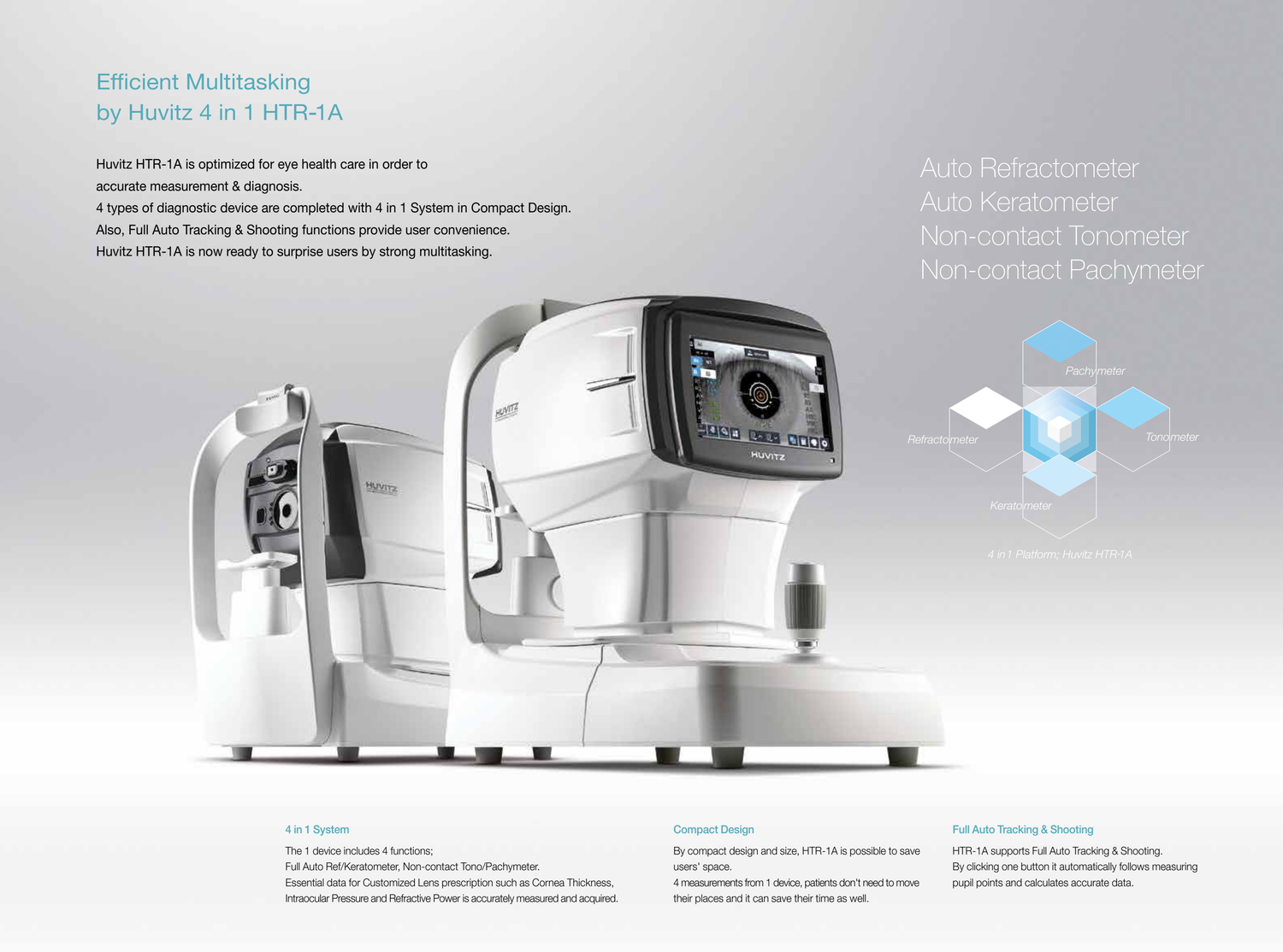Auto Refractometer

# Auto Keratometer Non-contact Tonometer Non-contact Pachymeter





## Efficient Multitasking by Huvitz 4 in 1 HTR-1A

Huvitz HTR-1A is optimized for eye health care in order to accurate measurement & diagnosis.

4 types of diagnostic device are completed with 4 in 1 System in Compact Design. Also, Full Auto Tracking & Shooting functions provide user convenience. Huvitz HTR-1A is now ready to surprise users by strong multitasking.

#### Full Auto Tracking & Shooting

HTR-1A supports Full Auto Tracking & Shooting. By clicking one button it automatically follows measuring pupil points and calculates accurate data.

#### Compact Design

By compact design and size, HTR-1A is possible to save users' space.

4 measurements from 1 device, patients don't need to move their places and it can save their time as well.

#### 4 in 1 System

The 1 device includes 4 functions; Full Auto Ref/Keratometer, Non-contact Tono/Pachymeter. Essential data for Customized Lens prescription such as Cornea Thickness, Intraocular Pressure and Refractive Power is accurately measured and acquired.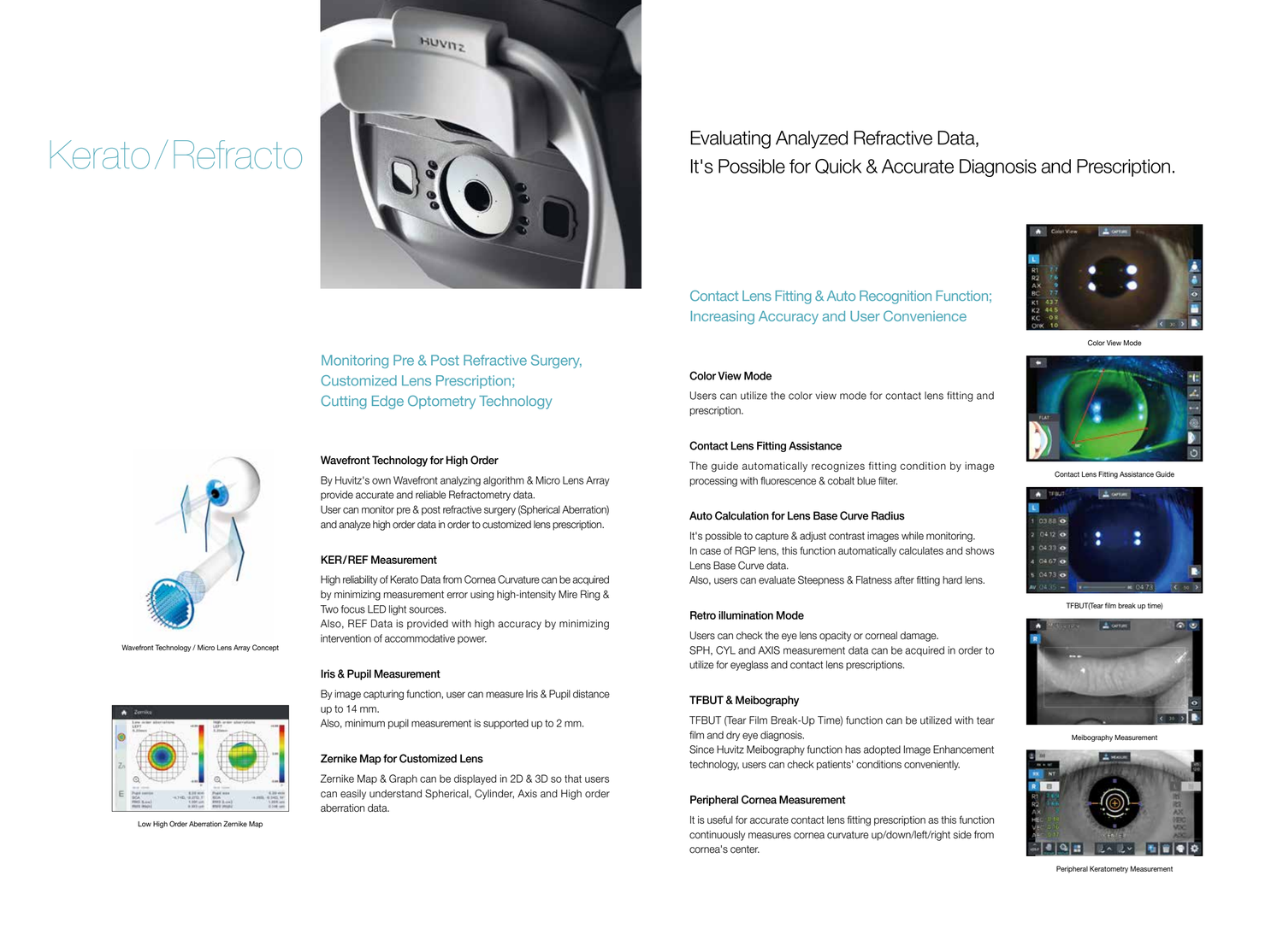# Kerato /Refracto



Monitoring Pre & Post Refractive Surgery, Customized Lens Prescription; Cutting Edge Optometry Technology

#### Wavefront Technology for High Order

By Huvitz's own Wavefront analyzing algorithm & Micro Lens Array provide accurate and reliable Refractometry data. User can monitor pre & post refractive surgery (Spherical Aberration) and analyze high order data in order to customized lens prescription.

#### KER/REF Measurement

High reliability of Kerato Data from Cornea Curvature can be acquired by minimizing measurement error using high-intensity Mire Ring & Two focus LED light sources.

Also, REF Data is provided with high accuracy by minimizing intervention of accommodative power.

#### Iris & Pupil Measurement

By image capturing function, user can measure Iris & Pupil distance up to 14 mm.

Also, minimum pupil measurement is supported up to 2 mm.

#### Zernike Map for Customized Lens

Zernike Map & Graph can be displayed in 2D & 3D so that users can easily understand Spherical, Cylinder, Axis and High order aberration data.

### Evaluating Analyzed Refractive Data, It's Possible for Quick & Accurate Diagnosis and Prescription.

Contact Lens Fitting & Auto Recognition Function; Increasing Accuracy and User Convenience

#### Color View Mode

Users can utilize the color view mode for contact lens fitting and prescription.

#### Contact Lens Fitting Assistance

The guide automatically recognizes fitting condition by image processing with fluorescence & cobalt blue filter.

#### Auto Calculation for Lens Base Curve Radius

It's possible to capture & adjust contrast images while monitoring. In case of RGP lens, this function automatically calculates and shows Lens Base Curve data.

Also, users can evaluate Steepness & Flatness after fitting hard lens.

#### Retro illumination Mode

Users can check the eye lens opacity or corneal damage. SPH, CYL and AXIS measurement data can be acquired in order to utilize for eyeglass and contact lens prescriptions.

#### TFBUT & Meibography

TFBUT (Tear Film Break-Up Time) function can be utilized with tear film and dry eye diagnosis.

Since Huvitz Meibography function has adopted Image Enhancement technology, users can check patients' conditions conveniently.

#### Peripheral Cornea Measurement

It is useful for accurate contact lens fitting prescription as this function continuously measures cornea curvature up/down/left/right side from cornea's center.



Wavefront Technology / Micro Lens Array Concept



Low・High Order Aberration Zernike Map



Color View Mode



Contact Lens Fitting Assistance Guide



Meibography Measurement



TFBUT(Tear film break up time)



Peripheral Keratometry Measurement